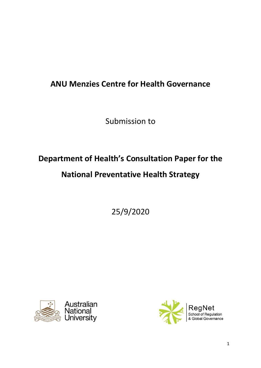# **ANU Menzies Centre for Health Governance**

Submission to

# **Department of Health's Consultation Paper for the National Preventative Health Strategy**

25/9/2020



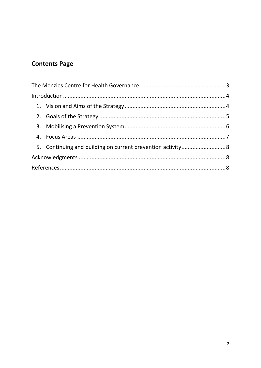## **Contents Page**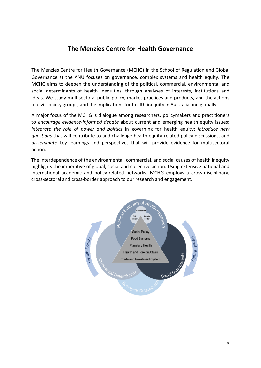#### **The Menzies Centre for Health Governance**

<span id="page-2-0"></span>The Menzies Centre for Health Governance (MCHG) in the School of Regulation and Global Governance at the ANU focuses on governance, complex systems and health equity. The MCHG aims to deepen the understanding of the political, commercial, environmental and social determinants of health inequities, through analyses of interests, institutions and ideas. We study multisectoral public policy, market practices and products, and the actions of civil society groups, and the implications for health inequity in Australia and globally.

A major focus of the MCHG is dialogue among researchers, policymakers and practitioners to *encourage evidence-informed debate* about current and emerging health equity issues; *integrate the role of power and politics* in governing for health equity; *introduce new questions* that will contribute to and challenge health equity-related policy discussions, and *disseminate* key learnings and perspectives that will provide evidence for multisectoral action.

The interdependence of the environmental, commercial, and social causes of health inequity highlights the imperative of global, social and collective action. Using extensive national and international academic and policy-related networks, MCHG employs a cross-disciplinary, cross-sectoral and cross-border approach to our research and engagement.

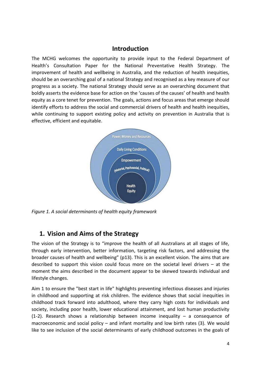#### **Introduction**

<span id="page-3-0"></span>The MCHG welcomes the opportunity to provide input to the Federal Department of Health's Consultation Paper for the National Preventative Health Strategy. The improvement of health and wellbeing in Australia, and the reduction of health inequities, should be an overarching goal of a national Strategy and recognised as a key measure of our progress as a society. The national Strategy should serve as an overarching document that boldly asserts the evidence base for action on the 'causes of the causes' of health and health equity as a core tenet for prevention. The goals, actions and focus areas that emerge should identify efforts to address the social and commercial drivers of health and health inequities, while continuing to support existing policy and activity on prevention in Australia that is effective, efficient and equitable.



*Figure 1. A social determinants of health equity framework*

#### <span id="page-3-1"></span>**1. Vision and Aims of the Strategy**

The vision of the Strategy is to "improve the health of all Australians at all stages of life, through early intervention, better information, targeting risk factors, and addressing the broader causes of health and wellbeing" (p13). This is an excellent vision. The aims that are described to support this vision could focus more on the societal level drivers – at the moment the aims described in the document appear to be skewed towards individual and lifestyle changes.

Aim 1 to ensure the "best start in life" highlights preventing infectious diseases and injuries in childhood and supporting at risk children. The evidence shows that social inequities in childhood track forward into adulthood, where they carry high costs for individuals and society, including poor health, lower educational attainment, and lost human productivity (1-2). Research shows a relationship between income inequality – a consequence of macroeconomic and social policy – and infant mortality and low birth rates (3). We would like to see inclusion of the social determinants of early childhood outcomes in the goals of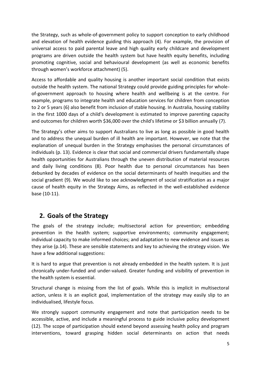the Strategy, such as whole-of-government policy to support conception to early childhood and elevation of health evidence guiding this approach (4). For example, the provision of universal access to paid parental leave and high quality early childcare and development programs are driven outside the health system but have health equity benefits, including promoting cognitive, social and behavioural development (as well as economic benefits through women's workforce attachment) (5).

Access to affordable and quality housing is another important social condition that exists outside the health system. The national Strategy could provide guiding principles for wholeof-government approach to housing where health and wellbeing is at the centre. For example, programs to integrate health and education services for children from conception to 2 or 5 years (6) also benefit from inclusion of stable housing. In Australia, housing stability in the first 1000 days of a child's development is estimated to improve parenting capacity and outcomes for children worth \$36,000 over the child's lifetime or \$3 billion annually (7).

The Strategy's other aims to support Australians to live as long as possible in good health and to address the unequal burden of ill health are important. However, we note that the explanation of unequal burden in the Strategy emphasises the personal circumstances of individuals (p. 13). Evidence is clear that social and commercial drivers fundamentally shape health opportunities for Australians through the uneven distribution of material resources and daily living conditions (8). Poor health due to personal circumstances has been debunked by decades of evidence on the social determinants of health inequities and the social gradient (9). We would like to see acknowledgment of social stratification as a major cause of health equity in the Strategy Aims, as reflected in the well-established evidence base (10-11).

#### <span id="page-4-0"></span>**2. Goals of the Strategy**

The goals of the strategy include; multisectoral action for prevention; embedding prevention in the health system; supportive environments; community engagement; individual capacity to make informed choices; and adaptation to new evidence and issues as they arise (p.14). These are sensible statements and key to achieving the strategy vision. We have a few additional suggestions:

It is hard to argue that prevention is not already embedded in the health system. It is just chronically under-funded and under-valued. Greater funding and visibility of prevention in the health system is essential.

Structural change is missing from the list of goals. While this is implicit in multisectoral action, unless it is an explicit goal, implementation of the strategy may easily slip to an individualised, lifestyle focus.

We strongly support community engagement and note that participation needs to be accessible, active, and include a meaningful process to guide inclusive policy development (12). The scope of participation should extend beyond assessing health policy and program interventions, toward grasping hidden social determinants on action that needs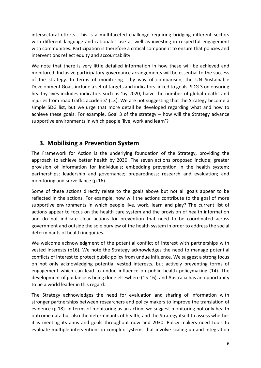intersectoral efforts. This is a multifaceted challenge requiring bridging different sectors with different language and rationales use as well as investing in respectful engagement with communities. Participation is therefore a critical component to ensure that policies and interventions reflect equity and accountability.

We note that there is very little detailed information in how these will be achieved and monitored. Inclusive participatory governance arrangements will be essential to the success of the strategy. In terms of monitoring - by way of comparison, the UN Sustainable Development Goals include a set of targets and indicators linked to goals. SDG 3 on ensuring healthy lives includes indicators such as 'by 2020, halve the number of global deaths and injuries from road traffic accidents' (13). We are not suggesting that the Strategy become a simple SDG list, but we urge that more detail be developed regarding what and how to achieve these goals. For example, Goal 3 of the strategy – how will the Strategy advance supportive environments in which people 'live, work and learn'?

#### <span id="page-5-0"></span>**3. Mobilising a Prevention System**

The Framework for Action is the underlying foundation of the Strategy, providing the approach to achieve better health by 2030. The seven actions proposed include; greater provision of information for individuals; embedding prevention in the health system; partnerships; leadership and governance; preparedness; research and evaluation; and monitoring and surveillance (p.16).

Some of these actions directly relate to the goals above but not all goals appear to be reflected in the actions. For example, how will the actions contribute to the goal of more supportive environments in which people live, work, learn and play? The current list of actions appear to focus on the health care system and the provision of health information and do not indicate clear actions for prevention that need to be coordinated across government and outside the sole purview of the health system in order to address the social determinants of health inequities.

We welcome acknowledgment of the potential conflict of interest with partnerships with vested interests (p16). We note the Strategy acknowledges the need to manage potential conflicts of interest to protect public policy from undue influence. We suggest a strong focus on not only acknowledging potential vested interests, but actively preventing forms of engagement which can lead to undue influence on public health policymaking (14). The development of guidance is being done elsewhere (15-16), and Australia has an opportunity to be a world leader in this regard.

The Strategy acknowledges the need for evaluation and sharing of information with stronger partnerships between researchers and policy makers to improve the translation of evidence (p.18). In terms of monitoring as an action, we suggest monitoring not only health outcome data but also the determinants of health, and the Strategy itself to assess whether it is meeting its aims and goals throughout now and 2030. Policy makers need tools to evaluate multiple interventions in complex systems that involve scaling up and integration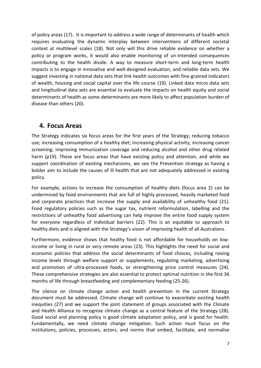of policy areas (17). It is important to address a wide range of determinants of health which requires evaluating the dynamic interplay between interventions of different societal context at multilevel scales (18). Not only will this drive reliable evidence on whether a policy or program works, it would also enable monitoring of un-intended consequences contributing to the health divide. A way to measure short-term and long-term health impacts is to engage in innovative and well-designed evaluation, and reliable data sets. We suggest investing in national data sets that link health outcomes with fine-grained indicators of wealth, housing and social capital over the life course (19). Linked data micro data sets and longitudinal data sets are essential to evaluate the impacts on health equity and social determinants of health as some determinants are more likely to affect population burden of disease than others (20).

#### <span id="page-6-0"></span>**4. Focus Areas**

The Strategy indicates six focus areas for the first years of the Strategy; reducing tobacco use; increasing consumption of a healthy diet; increasing physical activity; increasing cancer screening; improving immunization coverage and reducing alcohol and other drug related harm (p19). These are focus areas that have existing policy and attention, and while we support coordination of existing mechanisms, we see the Prevention strategy as having a bolder aim to include the causes of ill health that are not adequately addressed in existing policy.

For example, actions to increase the consumption of healthy diets (focus area 2) can be undermined by food environments that are full of highly processed, heavily marketed food and corporate practices that increase the supply and availability of unhealthy food (21). Food regulatory policies such as the sugar tax, nutrient reformulation, labelling and the restrictions of unhealthy food advertising can help improve the entire food supply system for everyone regardless of individual barriers (22). This is an equitable to approach to healthy diets and is aligned with the Strategy's vision of improving health of all Australians.

Furthermore, evidence shows that heathy food is not affordable for households on lowincome or living in rural or very remote areas (23). This highlights the need for social and economic policies that address the social determinants of food choices, including raising income levels through welfare support or supplements, regulating marketing, advertising and promotion of ultra-processed foods, or strengthening price control measures (24). These comprehensive strategies are also essential to protect optimal nutrition in the first 36 months of life through breastfeeding and complementary feeding (25-26).

The silence on climate change action and health prevention in the current Strategy document must be addressed. Climate change will continue to exacerbate existing health inequities (27) and we support the joint statement of groups associated with the Climate and Health Alliance to recognise climate change as a central feature of the Strategy (28). Good social and planning policy is good climate adaptation policy, and is good for health. Fundamentally, we need climate change mitigation. Such action must focus on the institutions, policies, processes, actors, and norms that embed, facilitate, and normalise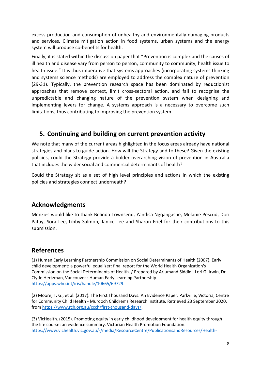excess production and consumption of unhealthy and environmentally damaging products and services. Climate mitigation action in food systems, urban systems and the energy system will produce co-benefits for health.

Finally, it is stated within the discussion paper that "Prevention is complex and the causes of ill health and disease vary from person to person, community to community, health issue to health issue." It is thus imperative that systems approaches (incorporating systems thinking and systems science methods) are employed to address the complex nature of prevention (29-31). Typically, the prevention research space has been dominated by reductionist approaches that remove context, limit cross-sectoral action, and fail to recognise the unpredictable and changing nature of the prevention system when designing and implementing levers for change. A systems approach is a necessary to overcome such limitations, thus contributing to improving the prevention system.

### <span id="page-7-0"></span>**5. Continuing and building on current prevention activity**

We note that many of the current areas highlighted in the focus areas already have national strategies and plans to guide action. How will the Strategy add to these? Given the existing policies, could the Strategy provide a bolder overarching vision of prevention in Australia that includes the wider social and commercial determinants of health?

Could the Strategy sit as a set of high level principles and actions in which the existing policies and strategies connect underneath?

#### <span id="page-7-1"></span>**Acknowledgments**

Menzies would like to thank Belinda Townsend, Yandisa Ngqangashe, Melanie Pescud, Dori Patay, Sora Lee, Libby Salmon, Janice Lee and Sharon Friel for their contributions to this submission.

#### <span id="page-7-2"></span>**References**

(1) Human Early Learning Partnership Commission on Social Determinants of Health (2007). Early child development: a powerful equalizer: final report for the World Health Organization's Commission on the Social Determinants of Health. / Prepared by Arjumand Siddiqi, Lori G. Irwin, Dr. Clyde Hertzman, Vancouver : Human Early Learning Partnership. [https://apps.who.int/iris/handle/10665/69729.](https://apps.who.int/iris/handle/10665/69729)

(2) Moore, T. G., et al. (2017). The First Thousand Days: An Evidence Paper. Parkville, Victoria, Centre for Community Child Health - Murdoch Children's Research Institute. Retrieved 23 September 2020, from [https://www.rch.org.au/ccch/first-thousand-days/.](https://www.rch.org.au/ccch/first-thousand-days/)

(3) VicHealth. (2015). Promoting equity in early childhood development for health equity through the life course: an evidence summary. Victorian Health Promotion Foundation. [https://www.vichealth.vic.gov.au/-/media/ResourceCentre/PublicationsandResources/Health-](https://www.vichealth.vic.gov.au/-/media/ResourceCentre/PublicationsandResources/Health-Inequalities/Fair-Foundations/Summary/Health-Equity_Summary-Report_EarlyChildhoodDev.pdf?la=en&hash=748376B8804BAA857C55716CE097958023693D22)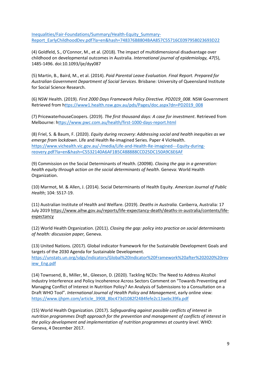[Inequalities/Fair-Foundations/Summary/Health-Equity\\_Summary-](https://www.vichealth.vic.gov.au/-/media/ResourceCentre/PublicationsandResources/Health-Inequalities/Fair-Foundations/Summary/Health-Equity_Summary-Report_EarlyChildhoodDev.pdf?la=en&hash=748376B8804BAA857C55716CE097958023693D22)[Report\\_EarlyChildhoodDev.pdf?la=en&hash=748376B8804BAA857C55716CE097958023693D22](https://www.vichealth.vic.gov.au/-/media/ResourceCentre/PublicationsandResources/Health-Inequalities/Fair-Foundations/Summary/Health-Equity_Summary-Report_EarlyChildhoodDev.pdf?la=en&hash=748376B8804BAA857C55716CE097958023693D22)

(4) Goldfeld, S., O'Connor, M., et al. (2018). The impact of multidimensional disadvantage over childhood on developmental outcomes in Australia. *International journal of epidemiology, 47*(5), 1485-1496. doi:10.1093/ije/dyy087

(5) Martin, B., Baird, M., et al. (2014). *Paid Parental Leave Evaluation. Final Report. Prepared for Australian Government Department of Social Services*. Brisbane: University of Queensland Institute for Social Science Research.

(6) NSW Health. (2019). *First 2000 Days Framework Policy Directive. PD2019\_008*. NSW Government Retrieved from [https://www1.health.nsw.gov.au/pds/Pages/doc.aspx?dn=PD2019\\_008](ttps://www1.health.nsw.gov.au/pds/Pages/doc.aspx?dn=PD2019_008)

(7) PricewaterhouseCoopers. (2019). *The first thousand days: A case for investment*. Retrieved from Melbourne: [https://www.pwc.com.au/health/first-1000-days-report.html](ttps://www.pwc.com.au/health/first-1000-days-report.html)

(8) Friel, S. & Baum, F. (2020). *Equity during recovery: Addressing social and health inequities as we emerge from lockdown*. Life and Health Re-imagined Series. Paper 4 VicHealth. [https://www.vichealth.vic.gov.au/-/media/Life-and-Health-Re-imagined---Equity-during](https://www.vichealth.vic.gov.au/-/media/Life-and-Health-Re-imagined---Equity-during-reovery.pdf?la=en&hash=C5532140A6AF1B5C488888CCD25DC150A9C6E6AF)[reovery.pdf?la=en&hash=C5532140A6AF1B5C488888CCD25DC150A9C6E6AF](https://www.vichealth.vic.gov.au/-/media/Life-and-Health-Re-imagined---Equity-during-reovery.pdf?la=en&hash=C5532140A6AF1B5C488888CCD25DC150A9C6E6AF)

(9) Commission on the Social Determinants of Health. (20098). *Closing the gap in a generation: health equity through action on the social determinants of health*. Geneva: World Health Organization.

(10) Marmot, M. & Allen, J. (2014). Social Determinants of Health Equity. *American Journal of Public Health*; 104: S517-19.

(11) Australian Institute of Health and Welfare. (2019). *Deaths in Australia.* Canberra, Australia: 17 July 2019 [https://www.aihw.gov.au/reports/life-expectancy-death/deaths-in-australia/contents/life](https://www.aihw.gov.au/reports/life-expectancy-death/deaths-in-australia/contents/life-expectancy)**expectancy** 

(12) World Health Organization. (2011). *Closing the gap: policy into practice on social determinants of health: discussion paper,* Geneva.

(13) United Nations. (2017). Global indicator framework for the Sustainable Development Goals and targets of the 2030 Agenda for Sustainable Development. [https://unstats.un.org/sdgs/indicators/Global%20Indicator%20Framework%20after%202020%20rev](https://unstats.un.org/sdgs/indicators/Global%20Indicator%20Framework%20after%202020%20review_Eng.pdf) [iew\\_Eng.pdf](https://unstats.un.org/sdgs/indicators/Global%20Indicator%20Framework%20after%202020%20review_Eng.pdf)

(14) Townsend, B., Miller, M., Gleeson, D. (2020). Tackling NCDs: The Need to Address Alcohol Industry Interference and Policy Incoherence Across Sectors Comment on "Towards Preventing and Managing Conflict of Interest in Nutrition Policy? An Analysis of Submissions to a Consultation on a Draft WHO Tool". *International Journal of Health Policy and Management*, early online view: [https://www.ijhpm.com/article\\_3908\\_8bc473d1082f2484fefe2c13aebc39fa.pdf](https://www.ijhpm.com/article_3908_8bc473d1082f2484fefe2c13aebc39fa.pdf)

(15) World Health Organization. (2017). *Safeguarding against possible conflicts of interest in nutrition programmes Draft approach for the prevention and management of conflicts of interest in the policy development and implementation of nutrition programmes at country level*. WHO: Geneva, 4 December 2017.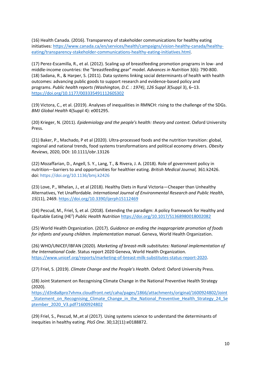(16) Health Canada. (2016). Transparency of stakeholder communications for healthy eating initiatives[: https://www.canada.ca/en/services/health/campaigns/vision-healthy-canada/healthy](https://www.canada.ca/en/services/health/campaigns/vision-healthy-canada/healthy-eating/transparency-stakeholder-communications-healthy-eating-initiatives.html)[eating/transparency-stakeholder-communications-healthy-eating-initiatives.html.](https://www.canada.ca/en/services/health/campaigns/vision-healthy-canada/healthy-eating/transparency-stakeholder-communications-healthy-eating-initiatives.html)

(17) Perez-Escamilla, R., et al. (2012). Scaling up of breastfeeding promotion programs in low- and middle-income countries: the "breastfeeding gear" model. *Advances in Nutrition* 3(6): 790-800. (18) Sadana, R., & Harper, S. (2011). Data systems linking social determinants of health with health outcomes: advancing public goods to support research and evidence-based policy and programs. *Public health reports (Washington, D.C. : 1974)*, *126 Suppl 3*(Suppl 3), 6–13. <https://doi.org/10.1177/00333549111260S302>

(19) Victora, C., et al. (2019). Analyses of inequalities in RMNCH: rising to the challenge of the SDGs. *BMJ Global Health* 4(Suppl 4): e001295.

(20) Krieger, N. (2011). *Epidemiology and the people's health: theory and context*. Oxford University Press.

(21) Baker, P., Machado, P et al (2020). Ultra-processed foods and the nutrition transition: global, regional and national trends, food systems transformations and political economy drivers. *Obesity Reviews*, 2020, DOI: 10.1111/obr.13126

(22) Mozaffarian, D., Angell, S. Y., Lang, T., & Rivera, J. A. (2018). Role of government policy in nutrition—barriers to and opportunities for healthier eating. *British Medical Journal,* 361:k2426. doi: <https://doi.org/10.1136/bmj.k2426>

(23) Love, P., Whelan, J., et al (2018). Healthy Diets in Rural Victoria—Cheaper than Unhealthy Alternatives, Yet Unaffordable. *International Journal of Environmental Research and Public Health*, *15*(11), 2469.<https://doi.org/10.3390/ijerph15112469>

(24) Pescud, M., Friel, S, et al. (2018). Extending the paradigm: A policy framework for Healthy and Equitable Eating (HE<sup>2</sup> ) *Public Health Nutrition* <https://doi.org/10.1017/S1368980018002082>

(25) World Health Organization. (2017). *Guidance on ending the inappropriate promotion of foods for infants and young children. Implementation manual*. Geneva, World Health Organization.

(26) WHO/UNICEF/IBFAN (2020). *Marketing of breast-milk substitutes: National implementation of the International Code*. Status report 2020 Geneva, World Health Organization. [https://www.unicef.org/reports/marketing-of-breast-milk-substitutes-status-report-2020.](https://www.unicef.org/reports/marketing-of-breast-milk-substitutes-status-report-2020)

(27) Friel, S. (2019). *Climate Change and the People's Health*. Oxford: Oxford University Press.

(28) Joint Statement on Recognising Climate Change in the National Preventive Health Strategy (2020).

[https://d3n8a8pro7vhmx.cloudfront.net/caha/pages/1866/attachments/original/1600924802/Joint](https://d3n8a8pro7vhmx.cloudfront.net/caha/pages/1866/attachments/original/1600924802/Joint_Statement_on_Recognising_Climate_Change_in_the_National_Preventive_Health_Strategy_24_September_2020_V3.pdf?1600924802) Statement on Recognising Climate Change in the National Preventive Health Strategy 24 Se [ptember\\_2020\\_V3.pdf?1600924802](https://d3n8a8pro7vhmx.cloudfront.net/caha/pages/1866/attachments/original/1600924802/Joint_Statement_on_Recognising_Climate_Change_in_the_National_Preventive_Health_Strategy_24_September_2020_V3.pdf?1600924802)

(29) Friel, S., Pescud, M.,et al (2017). Using systems science to understand the determinants of inequities in healthy eating. *PloS One*. 30;12(11):e0188872.